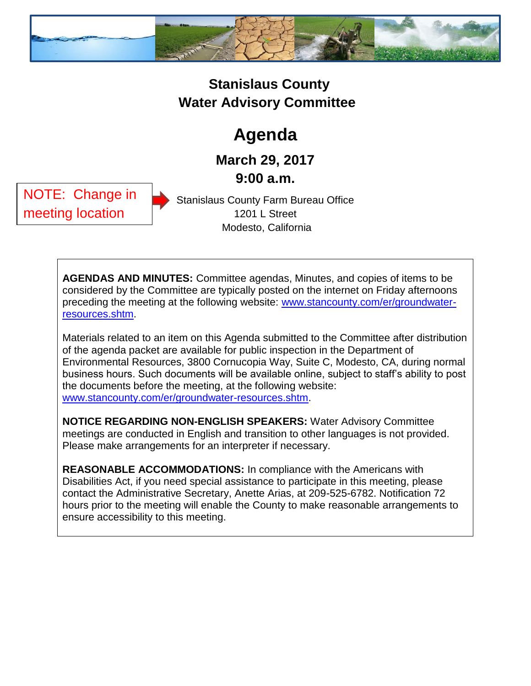

## **Stanislaus County Water Advisory Committee**

## **Agenda**

**March 29, 2017 9:00 a.m.**

NOTE: Change in meeting location

Stanislaus County Farm Bureau Office 1201 L Street Modesto, California

**AGENDAS AND MINUTES:** Committee agendas, Minutes, and copies of items to be considered by the Committee are typically posted on the internet on Friday afternoons preceding the meeting at the following website: [www.stancounty.com/er/groundwater](http://www.stancounty.com/er/groundwater-resources.shtm)[resources.shtm.](http://www.stancounty.com/er/groundwater-resources.shtm)

Materials related to an item on this Agenda submitted to the Committee after distribution of the agenda packet are available for public inspection in the Department of Environmental Resources, 3800 Cornucopia Way, Suite C, Modesto, CA, during normal business hours. Such documents will be available online, subject to staff's ability to post the documents before the meeting, at the following website: [www.stancounty.com/er/groundwater-resources.shtm.](http://www.stancounty.com/er/groundwater-resources.shtm)

**NOTICE REGARDING NON-ENGLISH SPEAKERS:** Water Advisory Committee meetings are conducted in English and transition to other languages is not provided. Please make arrangements for an interpreter if necessary.

**REASONABLE ACCOMMODATIONS:** In compliance with the Americans with Disabilities Act, if you need special assistance to participate in this meeting, please contact the Administrative Secretary, Anette Arias, at 209-525-6782. Notification 72 hours prior to the meeting will enable the County to make reasonable arrangements to ensure accessibility to this meeting.